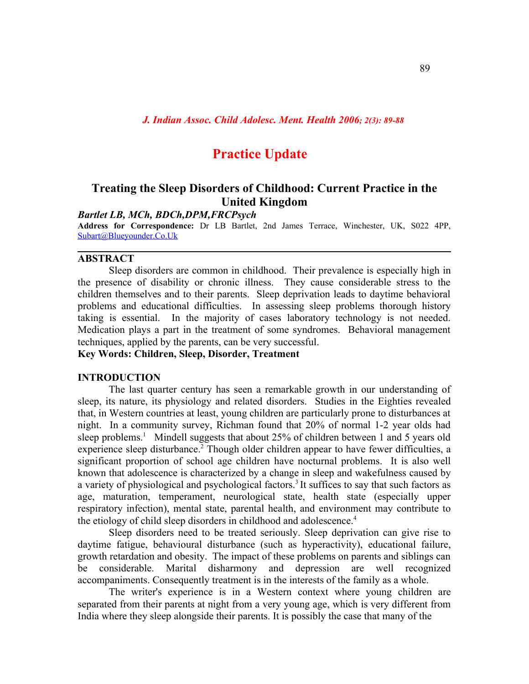# **Practice Update**

# **Treating the Sleep Disorders of Childhood: Current Practice in the United Kingdom**

### *Bartlet LB, MCh, BDCh,DPM,FRCPsych*

**Address for Correspondence:** Dr LB Bartlet, 2nd James Terrace, Winchester, UK, S022 4PP, [Subart@Blueyounder.Co.Uk](mailto:subart@blueyounder.co.uk)

#### **ABSTRACT**

Sleep disorders are common in childhood. Their prevalence is especially high in the presence of disability or chronic illness. They cause considerable stress to the children themselves and to their parents. Sleep deprivation leads to daytime behavioral problems and educational difficulties. In assessing sleep problems thorough history taking is essential. In the majority of cases laboratory technology is not needed. Medication plays a part in the treatment of some syndromes. Behavioral management techniques, applied by the parents, can be very successful.

# **Key Words: Children, Sleep, Disorder, Treatment**

#### **INTRODUCTION**

The last quarter century has seen a remarkable growth in our understanding of sleep, its nature, its physiology and related disorders. Studies in the Eighties revealed that, in Western countries at least, young children are particularly prone to disturbances at night. In a community survey, Richman found that 20% of normal 1-2 year olds had sleep problems.<sup>1</sup> Mindell suggests that about 25% of children between 1 and 5 years old experience sleep disturbance.<sup>2</sup> Though older children appear to have fewer difficulties, a significant proportion of school age children have nocturnal problems. It is also well known that adolescence is characterized by a change in sleep and wakefulness caused by a variety of physiological and psychological factors. 3 It suffices to say that such factors as age, maturation, temperament, neurological state, health state (especially upper respiratory infection), mental state, parental health, and environment may contribute to the etiology of child sleep disorders in childhood and adolescence. 4

Sleep disorders need to be treated seriously. Sleep deprivation can give rise to daytime fatigue, behavioural disturbance (such as hyperactivity), educational failure, growth retardation and obesity. The impact of these problems on parents and siblings can be considerable. Marital disharmony and depression are well recognized accompaniments. Consequently treatment is in the interests of the family as a whole.

The writer's experience is in a Western context where young children are separated from their parents at night from a very young age, which is very different from India where they sleep alongside their parents. It is possibly the case that many of the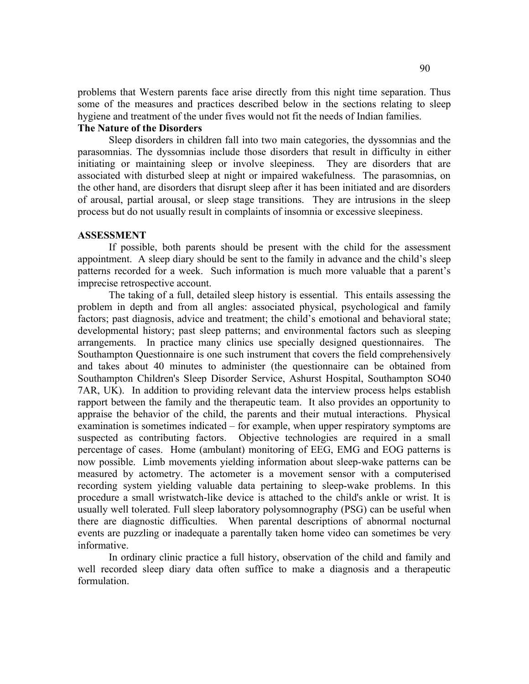problems that Western parents face arise directly from this night time separation. Thus some of the measures and practices described below in the sections relating to sleep hygiene and treatment of the under fives would not fit the needs of Indian families.

# **The Nature of the Disorders**

Sleep disorders in children fall into two main categories, the dyssomnias and the parasomnias. The dyssomnias include those disorders that result in difficulty in either initiating or maintaining sleep or involve sleepiness. They are disorders that are associated with disturbed sleep at night or impaired wakefulness. The parasomnias, on the other hand, are disorders that disrupt sleep after it has been initiated and are disorders of arousal, partial arousal, or sleep stage transitions. They are intrusions in the sleep process but do not usually result in complaints of insomnia or excessive sleepiness.

#### **ASSESSMENT**

If possible, both parents should be present with the child for the assessment appointment. A sleep diary should be sent to the family in advance and the child's sleep patterns recorded for a week. Such information is much more valuable that a parent's imprecise retrospective account.

The taking of a full, detailed sleep history is essential. This entails assessing the problem in depth and from all angles: associated physical, psychological and family factors; past diagnosis, advice and treatment; the child's emotional and behavioral state; developmental history; past sleep patterns; and environmental factors such as sleeping arrangements. In practice many clinics use specially designed questionnaires. The Southampton Questionnaire is one such instrument that covers the field comprehensively and takes about 40 minutes to administer (the questionnaire can be obtained from Southampton Children's Sleep Disorder Service, Ashurst Hospital, Southampton SO40 7AR, UK). In addition to providing relevant data the interview process helps establish rapport between the family and the therapeutic team. It also provides an opportunity to appraise the behavior of the child, the parents and their mutual interactions. Physical examination is sometimes indicated – for example, when upper respiratory symptoms are suspected as contributing factors. Objective technologies are required in a small percentage of cases. Home (ambulant) monitoring of EEG, EMG and EOG patterns is now possible. Limb movements yielding information about sleep-wake patterns can be measured by actometry. The actometer is a movement sensor with a computerised recording system yielding valuable data pertaining to sleep-wake problems. In this procedure a small wristwatch-like device is attached to the child's ankle or wrist. It is usually well tolerated. Full sleep laboratory polysomnography (PSG) can be useful when there are diagnostic difficulties. When parental descriptions of abnormal nocturnal events are puzzling or inadequate a parentally taken home video can sometimes be very informative.

In ordinary clinic practice a full history, observation of the child and family and well recorded sleep diary data often suffice to make a diagnosis and a therapeutic formulation.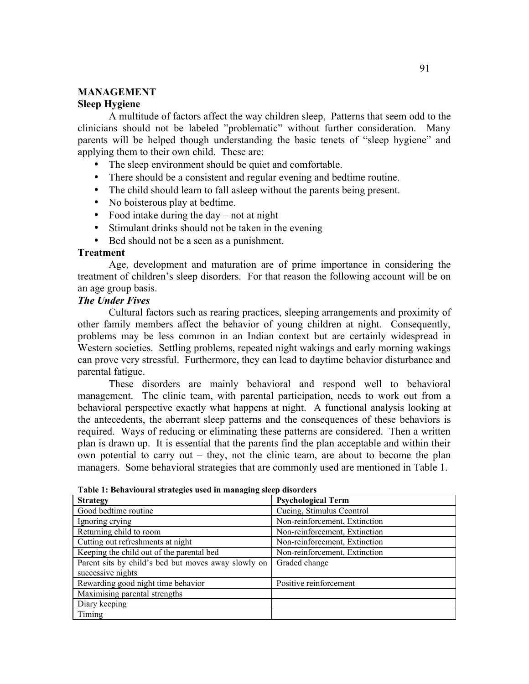# **MANAGEMENT Sleep Hygiene**

A multitude of factors affect the way children sleep, Patterns that seem odd to the clinicians should not be labeled "problematic" without further consideration. Many parents will be helped though understanding the basic tenets of "sleep hygiene" and applying them to their own child. These are:

- The sleep environment should be quiet and comfortable.
- There should be a consistent and regular evening and bedtime routine.
- The child should learn to fall asleep without the parents being present.
- No boisterous play at bedtime.
- Food intake during the day  $-$  not at night
- Stimulant drinks should not be taken in the evening
- Bed should not be a seen as a punishment.

#### **Treatment**

Age, development and maturation are of prime importance in considering the treatment of children's sleep disorders. For that reason the following account will be on an age group basis.

# *The Under Fives*

Cultural factors such as rearing practices, sleeping arrangements and proximity of other family members affect the behavior of young children at night. Consequently, problems may be less common in an Indian context but are certainly widespread in Western societies. Settling problems, repeated night wakings and early morning wakings can prove very stressful. Furthermore, they can lead to daytime behavior disturbance and parental fatigue.

These disorders are mainly behavioral and respond well to behavioral management. The clinic team, with parental participation, needs to work out from a behavioral perspective exactly what happens at night. A functional analysis looking at the antecedents, the aberrant sleep patterns and the consequences of these behaviors is required. Ways of reducing or eliminating these patterns are considered. Then a written plan is drawn up. It is essential that the parents find the plan acceptable and within their own potential to carry out – they, not the clinic team, are about to become the plan managers. Some behavioral strategies that are commonly used are mentioned in Table 1.

| <b>Strategy</b>                                     | <b>Psychological Term</b>     |
|-----------------------------------------------------|-------------------------------|
| Good bedtime routine                                | Cueing, Stimulus Ccontrol     |
| Ignoring crying                                     | Non-reinforcement, Extinction |
| Returning child to room                             | Non-reinforcement, Extinction |
| Cutting out refreshments at night                   | Non-reinforcement, Extinction |
| Keeping the child out of the parental bed           | Non-reinforcement, Extinction |
| Parent sits by child's bed but moves away slowly on | Graded change                 |
| successive nights                                   |                               |
| Rewarding good night time behavior                  | Positive reinforcement        |
| Maximising parental strengths                       |                               |
| Diary keeping                                       |                               |
| Timing                                              |                               |

**Table 1: Behavioural strategies used in managing sleep disorders**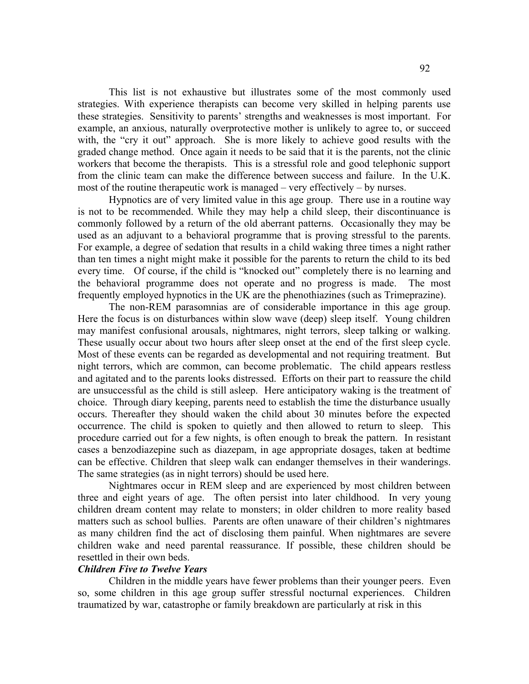This list is not exhaustive but illustrates some of the most commonly used strategies. With experience therapists can become very skilled in helping parents use these strategies. Sensitivity to parents' strengths and weaknesses is most important. For example, an anxious, naturally overprotective mother is unlikely to agree to, or succeed with, the "cry it out" approach. She is more likely to achieve good results with the graded change method. Once again it needs to be said that it is the parents, not the clinic workers that become the therapists. This is a stressful role and good telephonic support from the clinic team can make the difference between success and failure. In the U.K. most of the routine therapeutic work is managed – very effectively – by nurses.

Hypnotics are of very limited value in this age group. There use in a routine way is not to be recommended. While they may help a child sleep, their discontinuance is commonly followed by a return of the old aberrant patterns. Occasionally they may be used as an adjuvant to a behavioral programme that is proving stressful to the parents. For example, a degree of sedation that results in a child waking three times a night rather than ten times a night might make it possible for the parents to return the child to its bed every time. Of course, if the child is "knocked out" completely there is no learning and the behavioral programme does not operate and no progress is made. The most frequently employed hypnotics in the UK are the phenothiazines (such as Trimeprazine).

The non-REM parasomnias are of considerable importance in this age group. Here the focus is on disturbances within slow wave (deep) sleep itself. Young children may manifest confusional arousals, nightmares, night terrors, sleep talking or walking. These usually occur about two hours after sleep onset at the end of the first sleep cycle. Most of these events can be regarded as developmental and not requiring treatment. But night terrors, which are common, can become problematic. The child appears restless and agitated and to the parents looks distressed. Efforts on their part to reassure the child are unsuccessful as the child is still asleep. Here anticipatory waking is the treatment of choice. Through diary keeping, parents need to establish the time the disturbance usually occurs. Thereafter they should waken the child about 30 minutes before the expected occurrence. The child is spoken to quietly and then allowed to return to sleep. This procedure carried out for a few nights, is often enough to break the pattern. In resistant cases a benzodiazepine such as diazepam, in age appropriate dosages, taken at bedtime can be effective. Children that sleep walk can endanger themselves in their wanderings. The same strategies (as in night terrors) should be used here.

Nightmares occur in REM sleep and are experienced by most children between three and eight years of age. The often persist into later childhood. In very young children dream content may relate to monsters; in older children to more reality based matters such as school bullies. Parents are often unaware of their children's nightmares as many children find the act of disclosing them painful. When nightmares are severe children wake and need parental reassurance. If possible, these children should be resettled in their own beds.

#### *Children Five to Twelve Years*

Children in the middle years have fewer problems than their younger peers. Even so, some children in this age group suffer stressful nocturnal experiences. Children traumatized by war, catastrophe or family breakdown are particularly at risk in this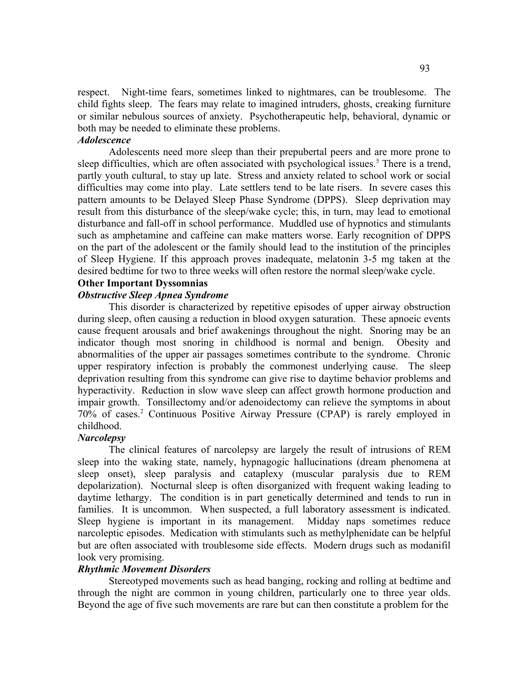respect. Night-time fears, sometimes linked to nightmares, can be troublesome. The child fights sleep. The fears may relate to imagined intruders, ghosts, creaking furniture or similar nebulous sources of anxiety. Psychotherapeutic help, behavioral, dynamic or both may be needed to eliminate these problems.

#### *Adolescence*

Adolescents need more sleep than their prepubertal peers and are more prone to sleep difficulties, which are often associated with psychological issues. <sup>5</sup> There is a trend, partly youth cultural, to stay up late. Stress and anxiety related to school work or social difficulties may come into play. Late settlers tend to be late risers. In severe cases this pattern amounts to be Delayed Sleep Phase Syndrome (DPPS). Sleep deprivation may result from this disturbance of the sleep/wake cycle; this, in turn, may lead to emotional disturbance and fall-off in school performance. Muddled use of hypnotics and stimulants such as amphetamine and caffeine can make matters worse. Early recognition of DPPS on the part of the adolescent or the family should lead to the institution of the principles of Sleep Hygiene. If this approach proves inadequate, melatonin 3-5 mg taken at the desired bedtime for two to three weeks will often restore the normal sleep/wake cycle.

# **Other Important Dyssomnias**

# *Obstructive Sleep Apnea Syndrome*

This disorder is characterized by repetitive episodes of upper airway obstruction during sleep, often causing a reduction in blood oxygen saturation. These apnoeic events cause frequent arousals and brief awakenings throughout the night. Snoring may be an indicator though most snoring in childhood is normal and benign. Obesity and abnormalities of the upper air passages sometimes contribute to the syndrome. Chronic upper respiratory infection is probably the commonest underlying cause. The sleep deprivation resulting from this syndrome can give rise to daytime behavior problems and hyperactivity. Reduction in slow wave sleep can affect growth hormone production and impair growth. Tonsillectomy and/or adenoidectomy can relieve the symptoms in about 70% of cases. <sup>2</sup> Continuous Positive Airway Pressure (CPAP) is rarely employed in childhood.

### *Narcolepsy*

The clinical features of narcolepsy are largely the result of intrusions of REM sleep into the waking state, namely, hypnagogic hallucinations (dream phenomena at sleep onset), sleep paralysis and cataplexy (muscular paralysis due to REM depolarization). Nocturnal sleep is often disorganized with frequent waking leading to daytime lethargy. The condition is in part genetically determined and tends to run in families. It is uncommon. When suspected, a full laboratory assessment is indicated. Sleep hygiene is important in its management. Midday naps sometimes reduce narcoleptic episodes. Medication with stimulants such as methylphenidate can be helpful but are often associated with troublesome side effects. Modern drugs such as modanifil look very promising.

#### *Rhythmic Movement Disorders*

Stereotyped movements such as head banging, rocking and rolling at bedtime and through the night are common in young children, particularly one to three year olds. Beyond the age of five such movements are rare but can then constitute a problem for the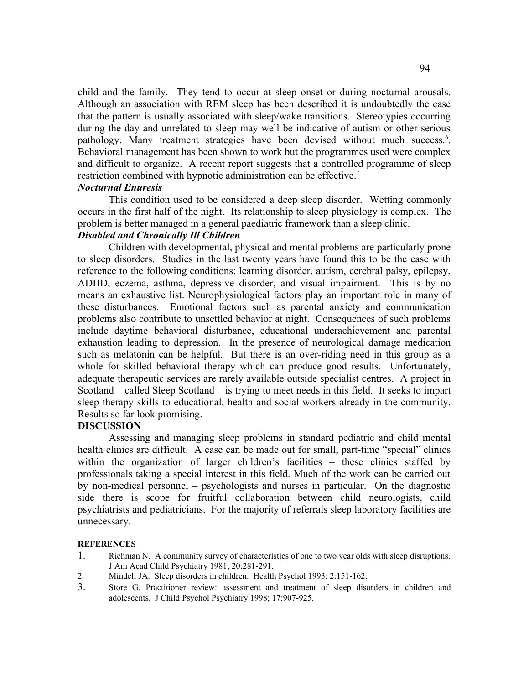child and the family. They tend to occur at sleep onset or during nocturnal arousals. Although an association with REM sleep has been described it is undoubtedly the case that the pattern is usually associated with sleep/wake transitions. Stereotypies occurring during the day and unrelated to sleep may well be indicative of autism or other serious pathology. Many treatment strategies have been devised without much success.<sup>6</sup>. Behavioral management has been shown to work but the programmes used were complex and difficult to organize. A recent report suggests that a controlled programme of sleep restriction combined with hypnotic administration can be effective.<sup>7</sup>

#### *Nocturnal Enuresis*

This condition used to be considered a deep sleep disorder. Wetting commonly occurs in the first half of the night. Its relationship to sleep physiology is complex. The problem is better managed in a general paediatric framework than a sleep clinic.

# *Disabled and Chronically Ill Children*

Children with developmental, physical and mental problems are particularly prone to sleep disorders. Studies in the last twenty years have found this to be the case with reference to the following conditions: learning disorder, autism, cerebral palsy, epilepsy, ADHD, eczema, asthma, depressive disorder, and visual impairment. This is by no means an exhaustive list. Neurophysiological factors play an important role in many of these disturbances. Emotional factors such as parental anxiety and communication problems also contribute to unsettled behavior at night. Consequences of such problems include daytime behavioral disturbance, educational underachievement and parental exhaustion leading to depression. In the presence of neurological damage medication such as melatonin can be helpful. But there is an over-riding need in this group as a whole for skilled behavioral therapy which can produce good results. Unfortunately, adequate therapeutic services are rarely available outside specialist centres. A project in Scotland – called Sleep Scotland – is trying to meet needs in this field. It seeks to impart sleep therapy skills to educational, health and social workers already in the community. Results so far look promising.

#### **DISCUSSION**

Assessing and managing sleep problems in standard pediatric and child mental health clinics are difficult. A case can be made out for small, part-time "special" clinics within the organization of larger children's facilities – these clinics staffed by professionals taking a special interest in this field. Much of the work can be carried out by non-medical personnel – psychologists and nurses in particular. On the diagnostic side there is scope for fruitful collaboration between child neurologists, child psychiatrists and pediatricians. For the majority of referrals sleep laboratory facilities are unnecessary.

#### **REFERENCES**

- 1. Richman N. A community survey of characteristics of one to two year olds with sleep disruptions. J Am Acad Child Psychiatry 1981; 20:281-291.
- 2. Mindell JA. Sleep disorders in children. Health Psychol 1993; 2:151-162.
- 3. Store G. Practitioner review: assessment and treatment of sleep disorders in children and adolescents. J Child Psychol Psychiatry 1998; 17:907-925.